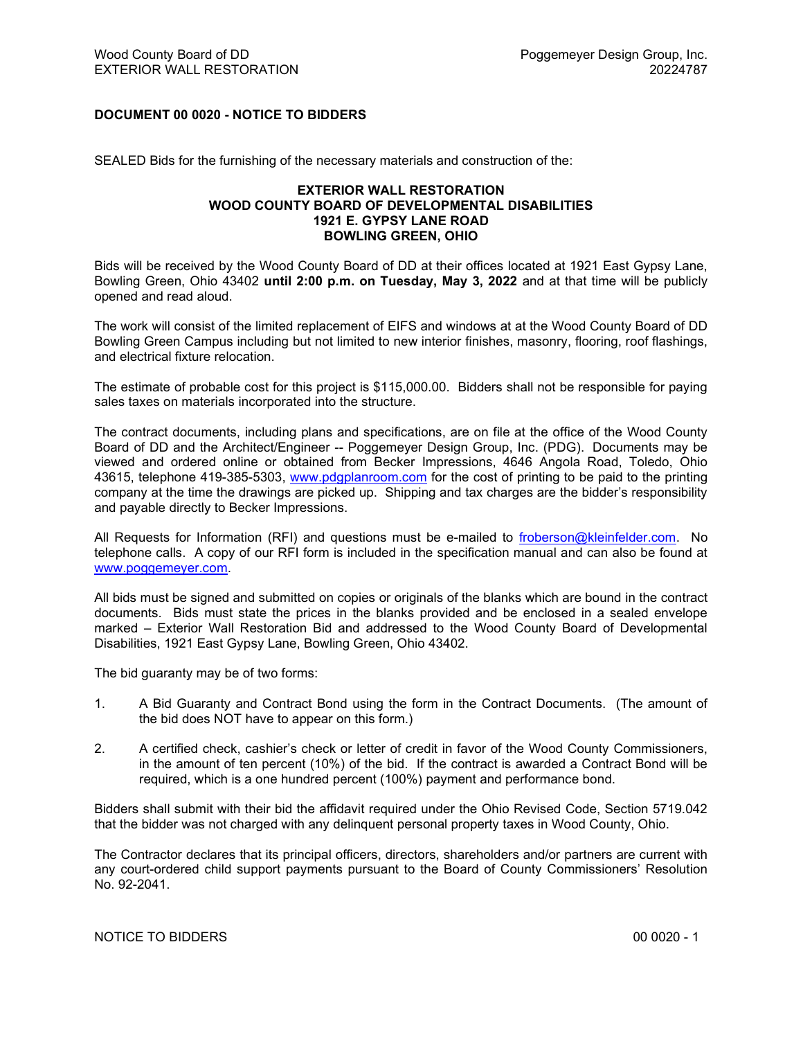## DOCUMENT 00 0020 - NOTICE TO BIDDERS

SEALED Bids for the furnishing of the necessary materials and construction of the:

## EXTERIOR WALL RESTORATION WOOD COUNTY BOARD OF DEVELOPMENTAL DISABILITIES 1921 E. GYPSY LANE ROAD BOWLING GREEN, OHIO

Bids will be received by the Wood County Board of DD at their offices located at 1921 East Gypsy Lane, Bowling Green, Ohio 43402 until 2:00 p.m. on Tuesday, May 3, 2022 and at that time will be publicly opened and read aloud.

The work will consist of the limited replacement of EIFS and windows at at the Wood County Board of DD Bowling Green Campus including but not limited to new interior finishes, masonry, flooring, roof flashings, and electrical fixture relocation.

The estimate of probable cost for this project is \$115,000.00. Bidders shall not be responsible for paying sales taxes on materials incorporated into the structure.

The contract documents, including plans and specifications, are on file at the office of the Wood County Board of DD and the Architect/Engineer -- Poggemeyer Design Group, Inc. (PDG). Documents may be viewed and ordered online or obtained from Becker Impressions, 4646 Angola Road, Toledo, Ohio 43615, telephone 419-385-5303, www.pdgplanroom.com for the cost of printing to be paid to the printing company at the time the drawings are picked up. Shipping and tax charges are the bidder's responsibility and payable directly to Becker Impressions.

All Requests for Information (RFI) and questions must be e-mailed to froberson@kleinfelder.com. No telephone calls. A copy of our RFI form is included in the specification manual and can also be found at www.poggemeyer.com.

All bids must be signed and submitted on copies or originals of the blanks which are bound in the contract documents. Bids must state the prices in the blanks provided and be enclosed in a sealed envelope marked – Exterior Wall Restoration Bid and addressed to the Wood County Board of Developmental Disabilities, 1921 East Gypsy Lane, Bowling Green, Ohio 43402.

The bid guaranty may be of two forms:

- 1. A Bid Guaranty and Contract Bond using the form in the Contract Documents. (The amount of the bid does NOT have to appear on this form.)
- 2. A certified check, cashier's check or letter of credit in favor of the Wood County Commissioners, in the amount of ten percent (10%) of the bid. If the contract is awarded a Contract Bond will be required, which is a one hundred percent (100%) payment and performance bond.

Bidders shall submit with their bid the affidavit required under the Ohio Revised Code, Section 5719.042 that the bidder was not charged with any delinquent personal property taxes in Wood County, Ohio.

The Contractor declares that its principal officers, directors, shareholders and/or partners are current with any court-ordered child support payments pursuant to the Board of County Commissioners' Resolution No. 92-2041.